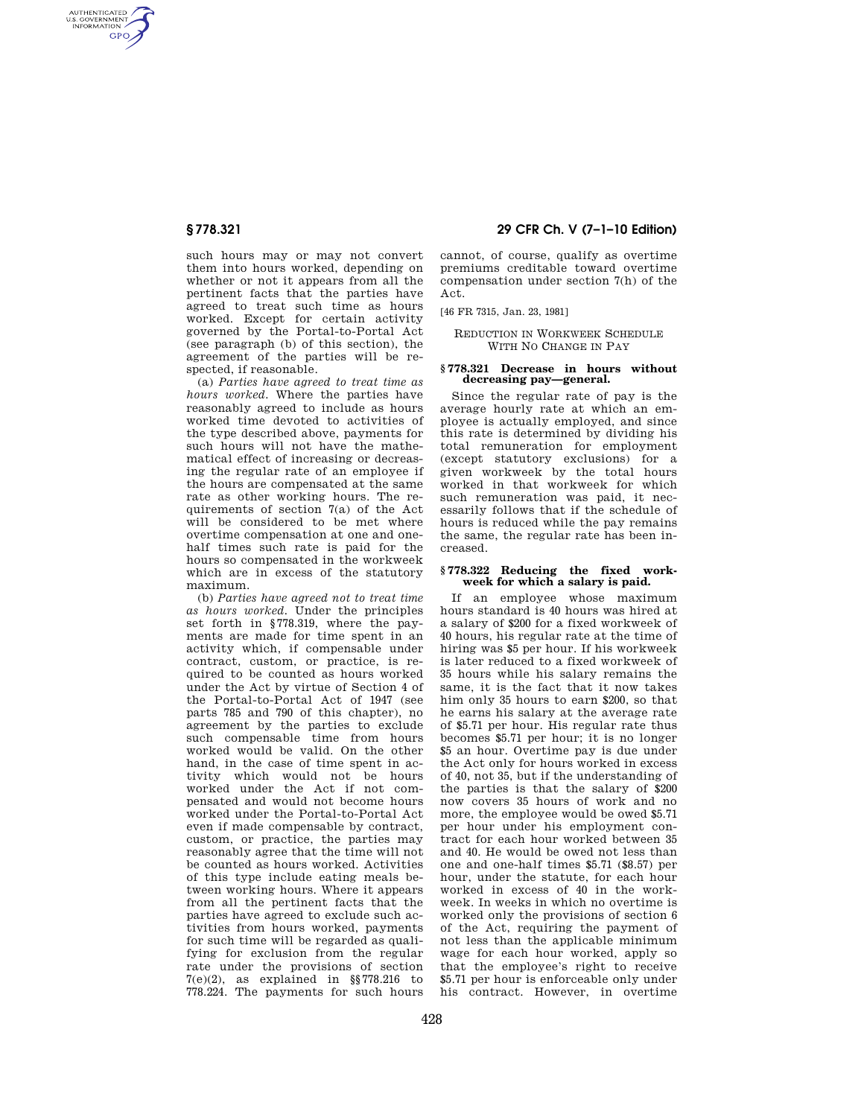AUTHENTICATED<br>U.S. GOVERNMENT<br>INFORMATION **GPO** 

> such hours may or may not convert them into hours worked, depending on whether or not it appears from all the pertinent facts that the parties have agreed to treat such time as hours worked. Except for certain activity governed by the Portal-to-Portal Act (see paragraph (b) of this section), the agreement of the parties will be respected, if reasonable.

> (a) *Parties have agreed to treat time as hours worked.* Where the parties have reasonably agreed to include as hours worked time devoted to activities of the type described above, payments for such hours will not have the mathematical effect of increasing or decreasing the regular rate of an employee if the hours are compensated at the same rate as other working hours. The requirements of section 7(a) of the Act will be considered to be met where overtime compensation at one and onehalf times such rate is paid for the hours so compensated in the workweek which are in excess of the statutory maximum.

> (b) *Parties have agreed not to treat time as hours worked.* Under the principles set forth in §778.319, where the payments are made for time spent in an activity which, if compensable under contract, custom, or practice, is required to be counted as hours worked under the Act by virtue of Section 4 of the Portal-to-Portal Act of 1947 (see parts 785 and 790 of this chapter), no agreement by the parties to exclude such compensable time from hours worked would be valid. On the other hand, in the case of time spent in activity which would not be hours worked under the Act if not compensated and would not become hours worked under the Portal-to-Portal Act even if made compensable by contract, custom, or practice, the parties may reasonably agree that the time will not be counted as hours worked. Activities of this type include eating meals between working hours. Where it appears from all the pertinent facts that the parties have agreed to exclude such activities from hours worked, payments for such time will be regarded as qualifying for exclusion from the regular rate under the provisions of section 7(e)(2), as explained in §§778.216 to 778.224. The payments for such hours

# **§ 778.321 29 CFR Ch. V (7–1–10 Edition)**

cannot, of course, qualify as overtime premiums creditable toward overtime compensation under section 7(h) of the Act.

[46 FR 7315, Jan. 23, 1981]

## REDUCTION IN WORKWEEK SCHEDULE WITH NO CHANGE IN PAY

## **§ 778.321 Decrease in hours without decreasing pay—general.**

Since the regular rate of pay is the average hourly rate at which an employee is actually employed, and since this rate is determined by dividing his total remuneration for employment (except statutory exclusions) for a given workweek by the total hours worked in that workweek for which such remuneration was paid, it necessarily follows that if the schedule of hours is reduced while the pay remains the same, the regular rate has been increased.

#### **§ 778.322 Reducing the fixed workweek for which a salary is paid.**

If an employee whose maximum hours standard is 40 hours was hired at a salary of \$200 for a fixed workweek of 40 hours, his regular rate at the time of hiring was \$5 per hour. If his workweek is later reduced to a fixed workweek of 35 hours while his salary remains the same, it is the fact that it now takes him only 35 hours to earn \$200, so that he earns his salary at the average rate of \$5.71 per hour. His regular rate thus becomes \$5.71 per hour; it is no longer \$5 an hour. Overtime pay is due under the Act only for hours worked in excess of 40, not 35, but if the understanding of the parties is that the salary of \$200 now covers 35 hours of work and no more, the employee would be owed \$5.71 per hour under his employment contract for each hour worked between 35 and 40. He would be owed not less than one and one-half times \$5.71 (\$8.57) per hour, under the statute, for each hour worked in excess of 40 in the workweek. In weeks in which no overtime is worked only the provisions of section 6 of the Act, requiring the payment of not less than the applicable minimum wage for each hour worked, apply so that the employee's right to receive \$5.71 per hour is enforceable only under his contract. However, in overtime